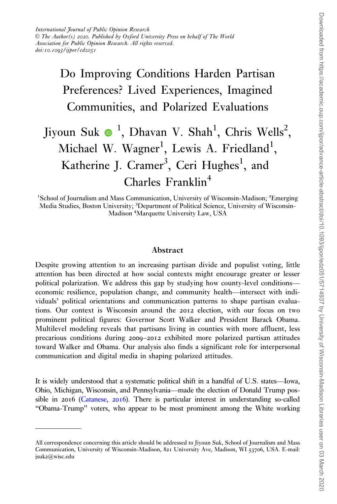## Do Improving Conditions Harden Partisan Preferences? Lived Experiences, Imagined Communities, and Polarized Evaluations

# Jiyoun Suk  $\bullet$  <sup>1</sup>, Dhavan V. Shah<sup>1</sup>, Chris Wells<sup>2</sup>, Michael W. Wagner<sup>1</sup>, Lewis A. Friedland<sup>1</sup>, Katherine J. Cramer<sup>3</sup>, Ceri Hughes<sup>1</sup>, and  $Charles Franklin<sup>4</sup>$

<sup>1</sup>School of Journalism and Mass Communication, University of Wisconsin-Madison; <sup>2</sup>Emerging Media Studies, Boston University; <sup>3</sup>Department of Political Science, University of Wisconsin-Madison <sup>4</sup> Marquette University Law, USA

#### Abstract

Despite growing attention to an increasing partisan divide and populist voting, little attention has been directed at how social contexts might encourage greater or lesser political polarization. We address this gap by studying how county-level conditions economic resilience, population change, and community health—intersect with individuals' political orientations and communication patterns to shape partisan evaluations. Our context is Wisconsin around the 2012 election, with our focus on two prominent political figures: Governor Scott Walker and President Barack Obama. Multilevel modeling reveals that partisans living in counties with more affluent, less precarious conditions during 2009–2012 exhibited more polarized partisan attitudes toward Walker and Obama. Our analysis also finds a significant role for interpersonal communication and digital media in shaping polarized attitudes.

It is widely understood that a systematic political shift in a handful of U.S. states—Iowa, Ohio, Michigan, Wisconsin, and Pennsylvania—made the election of Donald Trump possible in  $2016$  [\(Catanese,](#page-16-0)  $2016$ ). There is particular interest in understanding so-called "Obama-Trump" voters, who appear to be most prominent among the White working

All correspondence concerning this article should be addressed to Jiyoun Suk, School of Journalism and Mass Communication, University of Wisconsin-Madison, 821 University Ave, Madison, WI 53706, USA. E-mail: jsuk2@wisc.edu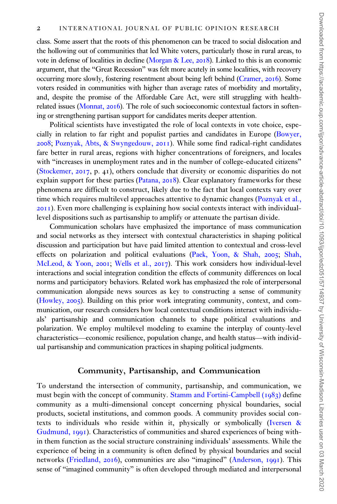class. Some assert that the roots of this phenomenon can be traced to social dislocation and the hollowing out of communities that led White voters, particularly those in rural areas, to vote in defense of localities in decline [\(Morgan](#page-17-0) [& Lee,](#page-17-0) 2018). Linked to this is an economic argument, that the "Great Recession" was felt more acutely in some localities, with recovery occurring more slowly, fostering resentment about being left behind [\(Cramer,](#page-16-0) 2016). Some voters resided in communities with higher than average rates of morbidity and mortality, and, despite the promise of the Affordable Care Act, were still struggling with healthrelated issues [\(Monnat,](#page-17-0) 2016). The role of such socioeconomic contextual factors in softening or strengthening partisan support for candidates merits deeper attention.

Political scientists have investigated the role of local contexts in vote choice, especially in relation to far right and populist parties and candidates in Europe [\(Bowyer,](#page-16-0) [2008](#page-16-0); [Poznyak, Abts, & Swyngedouw,](#page-17-0) 2011). While some find radical-right candidates fare better in rural areas, regions with higher concentrations of foreigners, and locales with "increases in unemployment rates and in the number of college-educated citizens" [\(Stockemer,](#page-18-0) 2017, p. 41), others conclude that diversity or economic disparities do not explain support for these parties ([Patana,](#page-17-0) 2018). Clear explanatory frameworks for these phenomena are difficult to construct, likely due to the fact that local contexts vary over time which requires multilevel approaches attentive to dynamic changes [\(Poznyak et al.,](#page-17-0) [2011](#page-17-0)). Even more challenging is explaining how social contexts interact with individuallevel dispositions such as partisanship to amplify or attenuate the partisan divide.

Communication scholars have emphasized the importance of mass communication and social networks as they intersect with contextual characteristics in shaping political discussion and participation but have paid limited attention to contextual and cross-level effects on polarization and political evaluations [\(Paek, Yoon,](#page-17-0) & [Shah,](#page-17-0) 2005; [Shah,](#page-17-0) [McLeod,](#page-17-0) & [Yoon,](#page-17-0) 2001; [Wells et al.,](#page-18-0) 2017). This work considers how individual-level interactions and social integration condition the effects of community differences on local norms and participatory behaviors. Related work has emphasized the role of interpersonal communication alongside news sources as key to constructing a sense of community [\(Howley,](#page-16-0) 2005). Building on this prior work integrating community, context, and communication, our research considers how local contextual conditions interact with individuals' partisanship and communication channels to shape political evaluations and polarization. We employ multilevel modeling to examine the interplay of county-level characteristics—economic resilience, population change, and health status—with individual partisanship and communication practices in shaping political judgments.

#### Community, Partisanship, and Communication

To understand the intersection of community, partisanship, and communication, we must begin with the concept of community. [Stamm and Fortini-Campbell \(](#page-17-0)1983) define community as a multi-dimensional concept concerning physical boundaries, social products, societal institutions, and common goods. A community provides social contexts to individuals who reside within it, physically or symbolically ([Iversen](#page-16-0) & [Gudmund,](#page-16-0) 1991). Characteristics of communities and shared experiences of being within them function as the social structure constraining individuals' assessments. While the experience of being in a community is often defined by physical boundaries and social networks ([Friedland,](#page-16-0) 2016), communities are also "imagined" [\(Anderson,](#page-15-0) 1991). This sense of "imagined community" is often developed through mediated and interpersonal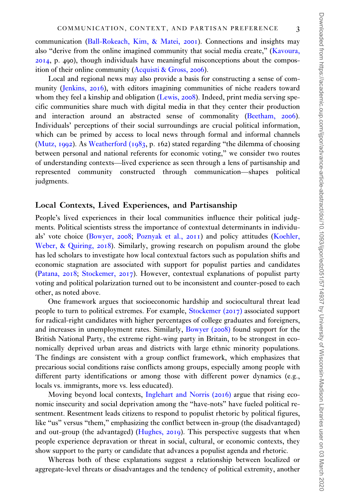communication [\(Ball-Rokeach, Kim, & Matei,](#page-16-0) 2001). Connections and insights may also "derive from the online imagined community that social media create," [\(Kavoura,](#page-16-0) [2014](#page-16-0), p. 490), though individuals have meaningful misconceptions about the composition of their online community [\(Acquisti & Gross,](#page-15-0) 2006).

Local and regional news may also provide a basis for constructing a sense of community [\(Jenkins,](#page-16-0) 2016), with editors imagining communities of niche readers toward whom they feel a kinship and obligation [\(Lewis,](#page-17-0) 2008). Indeed, print media serving specific communities share much with digital media in that they center their production and interaction around an abstracted sense of commonality ([Beetham,](#page-16-0) 2006). Individuals' perceptions of their social surroundings are crucial political information, which can be primed by access to local news through formal and informal channels [\(Mutz,](#page-17-0) 1992). As [Weatherford \(](#page-18-0)1983, p. 162) stated regarding "the dilemma of choosing between personal and national referents for economic voting," we consider two routes of understanding contexts—lived experience as seen through a lens of partisanship and represented community constructed through communication—shapes political judgments.

#### Local Contexts, Lived Experiences, and Partisanship

People's lived experiences in their local communities influence their political judgments. Political scientists stress the importance of contextual determinants in individuals' vote choice ([Bowyer,](#page-16-0) 2008; [Poznyak et al.,](#page-17-0) 2011) and policy attitudes [\(Koehler,](#page-17-0) [Weber,](#page-17-0) & [Quiring,](#page-17-0) 2018). Similarly, growing research on populism around the globe has led scholars to investigate how local contextual factors such as population shifts and economic stagnation are associated with support for populist parties and candidates [\(Patana,](#page-17-0) 2018; [Stockemer,](#page-18-0) 2017). However, contextual explanations of populist party voting and political polarization turned out to be inconsistent and counter-posed to each other, as noted above.

One framework argues that socioeconomic hardship and sociocultural threat lead people to turn to political extremes. For example, [Stockemer \(](#page-18-0)2017) associated support for radical-right candidates with higher percentages of college graduates and foreigners, and increases in unemployment rates. Similarly, [Bowyer \(](#page-16-0)2008) found support for the British National Party, the extreme right-wing party in Britain, to be strongest in economically deprived urban areas and districts with large ethnic minority populations. The findings are consistent with a group conflict framework, which emphasizes that precarious social conditions raise conflicts among groups, especially among people with different party identifications or among those with different power dynamics (e.g., locals vs. immigrants, more vs. less educated).

Moving beyond local contexts, [Inglehart and Norris \(](#page-16-0)2016) argue that rising economic insecurity and social deprivation among the "have-nots" have fueled political resentment. Resentment leads citizens to respond to populist rhetoric by political figures, like "us" versus "them," emphasizing the conflict between in-group (the disadvantaged) and out-group (the advantaged) ([Hughes,](#page-16-0) 2019). This perspective suggests that when people experience depravation or threat in social, cultural, or economic contexts, they show support to the party or candidate that advances a populist agenda and rhetoric.

Whereas both of these explanations suggest a relationship between localized or aggregate-level threats or disadvantages and the tendency of political extremity, another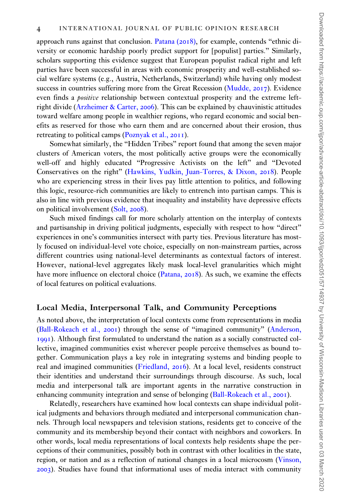approach runs against that conclusion. [Patana \(](#page-17-0)2018), for example, contends "ethnic diversity or economic hardship poorly predict support for [populist] parties." Similarly, scholars supporting this evidence suggest that European populist radical right and left parties have been successful in areas with economic prosperity and well-established social welfare systems (e.g., Austria, Netherlands, Switzerland) while having only modest success in countries suffering more from the Great Recession ([Mudde,](#page-17-0) 2017). Evidence even finds a *positive* relationship between contextual prosperity and the extreme leftright divide ([Arzheimer](#page-16-0) [& Carter,](#page-16-0) 2006). This can be explained by chauvinistic attitudes toward welfare among people in wealthier regions, who regard economic and social benefits as reserved for those who earn them and are concerned about their erosion, thus retreating to political camps ([Poznyak et al.,](#page-17-0) 2011).

Somewhat similarly, the "Hidden Tribes" report found that among the seven major clusters of American voters, the most politically active groups were the economically well-off and highly educated "Progressive Activists on the left" and "Devoted Conservatives on the right" [\(Hawkins, Yudkin, Juan-Torres, & Dixon,](#page-16-0) 2018). People who are experiencing stress in their lives pay little attention to politics, and following this logic, resource-rich communities are likely to entrench into partisan camps. This is also in line with previous evidence that inequality and instability have depressive effects on political involvement [\(Solt,](#page-17-0) 2008).

Such mixed findings call for more scholarly attention on the interplay of contexts and partisanship in driving political judgments, especially with respect to how "direct" experiences in one's communities intersect with party ties. Previous literature has mostly focused on individual-level vote choice, especially on non-mainstream parties, across different countries using national-level determinants as contextual factors of interest. However, national-level aggregates likely mask local-level granularities which might have more influence on electoral choice ([Patana,](#page-17-0) 2018). As such, we examine the effects of local features on political evaluations.

#### Local Media, Interpersonal Talk, and Community Perceptions

As noted above, the interpretation of local contexts come from representations in media [\(Ball-Rokeach et al.,](#page-16-0) 2001) through the sense of "imagined community" ([Anderson,](#page-15-0) [1991](#page-15-0)). Although first formulated to understand the nation as a socially constructed collective, imagined communities exist wherever people perceive themselves as bound together. Communication plays a key role in integrating systems and binding people to real and imagined communities [\(Friedland,](#page-16-0) 2016). At a local level, residents construct their identities and understand their surroundings through discourse. As such, local media and interpersonal talk are important agents in the narrative construction in enhancing community integration and sense of belonging [\(Ball-Rokeach et al.,](#page-16-0) 2001).

Relatedly, researchers have examined how local contexts can shape individual political judgments and behaviors through mediated and interpersonal communication channels. Through local newspapers and television stations, residents get to conceive of the community and its membership beyond their contact with neighbors and coworkers. In other words, local media representations of local contexts help residents shape the perceptions of their communities, possibly both in contrast with other localities in the state, region, or nation and as a reflection of national changes in a local microcosm [\(Vinson,](#page-18-0) [2003](#page-18-0)). Studies have found that informational uses of media interact with community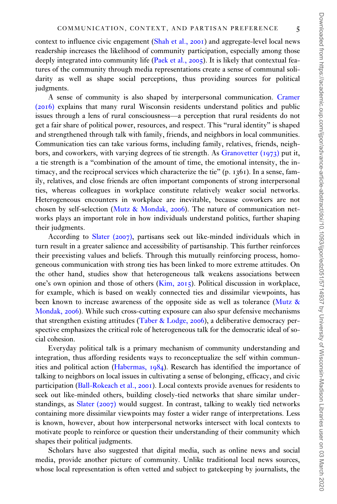context to influence civic engagement [\(Shah et al.,](#page-17-0) 2001) and aggregate-level local news readership increases the likelihood of community participation, especially among those deeply integrated into community life [\(Paek et al.,](#page-17-0) 2005). It is likely that contextual features of the community through media representations create a sense of communal solidarity as well as shape social perceptions, thus providing sources for political judgments.

A sense of community is also shaped by interpersonal communication. [Cramer](#page-16-0) ([2016](#page-16-0)) explains that many rural Wisconsin residents understand politics and public issues through a lens of rural consciousness—a perception that rural residents do not get a fair share of political power, resources, and respect. This "rural identity" is shaped and strengthened through talk with family, friends, and neighbors in local communities. Communication ties can take various forms, including family, relatives, friends, neighbors, and coworkers, with varying degrees of tie strength. As [Granovetter \(](#page-16-0)1973) put it, a tie strength is a "combination of the amount of time, the emotional intensity, the intimacy, and the reciprocal services which characterize the tie" (p. 1361). In a sense, family, relatives, and close friends are often important components of strong interpersonal ties, whereas colleagues in workplace constitute relatively weaker social networks. Heterogeneous encounters in workplace are inevitable, because coworkers are not chosen by self-selection ([Mutz](#page-17-0) & [Mondak,](#page-17-0) 2006). The nature of communication networks plays an important role in how individuals understand politics, further shaping their judgments.

According to [Slater \(](#page-17-0)2007), partisans seek out like-minded individuals which in turn result in a greater salience and accessibility of partisanship. This further reinforces their preexisting values and beliefs. Through this mutually reinforcing process, homogeneous communication with strong ties has been linked to more extreme attitudes. On the other hand, studies show that heterogeneous talk weakens associations between one's own opinion and those of others [\(Kim,](#page-17-0) 2015). Political discussion in workplace, for example, which is based on weakly connected ties and dissimilar viewpoints, has been known to increase awareness of the opposite side as well as tolerance [\(Mutz](#page-17-0) & [Mondak,](#page-17-0) 2006). While such cross-cutting exposure can also spur defensive mechanisms that strengthen existing attitudes ([Taber & Lodge,](#page-18-0) 2006), a deliberative democracy perspective emphasizes the critical role of heterogeneous talk for the democratic ideal of social cohesion.

Everyday political talk is a primary mechanism of community understanding and integration, thus affording residents ways to reconceptualize the self within communities and political action ([Habermas,](#page-16-0) 1984). Research has identified the importance of talking to neighbors on local issues in cultivating a sense of belonging, efficacy, and civic participation [\(Ball-Rokeach et al.,](#page-16-0) 2001). Local contexts provide avenues for residents to seek out like-minded others, building closely-tied networks that share similar understandings, as [Slater \(](#page-17-0)2007) would suggest. In contrast, talking to weakly tied networks containing more dissimilar viewpoints may foster a wider range of interpretations. Less is known, however, about how interpersonal networks intersect with local contexts to motivate people to reinforce or question their understanding of their community which shapes their political judgments.

Scholars have also suggested that digital media, such as online news and social media, provide another picture of community. Unlike traditional local news sources, whose local representation is often vetted and subject to gatekeeping by journalists, the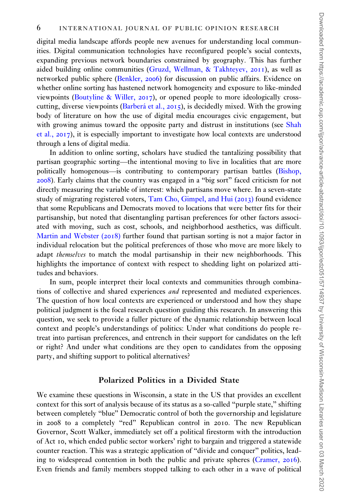digital media landscape affords people new avenues for understanding local communities. Digital communication technologies have reconfigured people's social contexts, expanding previous network boundaries constrained by geography. This has further aided building online communities ([Gruzd, Wellman,](#page-16-0) & [Takhteyev,](#page-16-0) 2011), as well as networked public sphere ([Benkler,](#page-16-0) 2006) for discussion on public affairs. Evidence on whether online sorting has hastened network homogeneity and exposure to like-minded viewpoints ([Boutyline & Willer,](#page-16-0) 2017), or opened people to more ideologically crosscutting, diverse viewpoints (Barberá et al., 2015), is decidedly mixed. With the growing body of literature on how the use of digital media encourages civic engagement, but with growing animus toward the opposite party and distrust in institutions (see [Shah](#page-17-0) [et al.,](#page-17-0) 2017), it is especially important to investigate how local contexts are understood through a lens of digital media.

In addition to online sorting, scholars have studied the tantalizing possibility that partisan geographic sorting—the intentional moving to live in localities that are more politically homogenous—is contributing to contemporary partisan battles ([Bishop,](#page-16-0) [2008](#page-16-0)). Early claims that the country was engaged in a "big sort" faced criticism for not directly measuring the variable of interest: which partisans move where. In a seven-state study of migrating registered voters, [Tam Cho, Gimpel, and Hui \(](#page-18-0)2013) found evidence that some Republicans and Democrats moved to locations that were better fits for their partisanship, but noted that disentangling partisan preferences for other factors associated with moving, such as cost, schools, and neighborhood aesthetics, was difficult. [Martin and Webster \(](#page-17-0)2018) further found that partisan sorting is not a major factor in individual relocation but the political preferences of those who move are more likely to adapt themselves to match the modal partisanship in their new neighborhoods. This highlights the importance of context with respect to shedding light on polarized attitudes and behaviors.

In sum, people interpret their local contexts and communities through combinations of collective and shared experiences and represented and mediated experiences. The question of how local contexts are experienced or understood and how they shape political judgment is the focal research question guiding this research. In answering this question, we seek to provide a fuller picture of the dynamic relationship between local context and people's understandings of politics: Under what conditions do people retreat into partisan preferences, and entrench in their support for candidates on the left or right? And under what conditions are they open to candidates from the opposing party, and shifting support to political alternatives?

#### Polarized Politics in a Divided State

We examine these questions in Wisconsin, a state in the US that provides an excellent context for this sort of analysis because of its status as a so-called "purple state," shifting between completely "blue" Democratic control of both the governorship and legislature in 2008 to a completely "red" Republican control in 2010. The new Republican Governor, Scott Walker, immediately set off a political firestorm with the introduction of Act 10, which ended public sector workers' right to bargain and triggered a statewide counter reaction. This was a strategic application of "divide and conquer" politics, leading to widespread contention in both the public and private spheres ([Cramer,](#page-16-0) 2016). Even friends and family members stopped talking to each other in a wave of political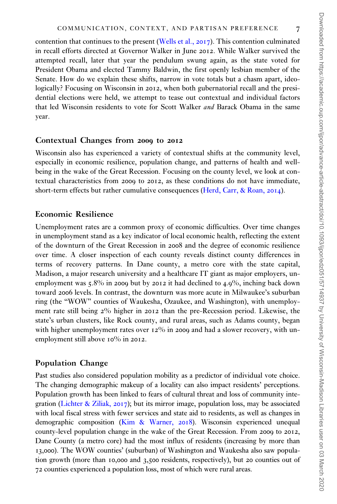contention that continues to the present ([Wells et al.,](#page-18-0) 2017). This contention culminated in recall efforts directed at Governor Walker in June 2012. While Walker survived the attempted recall, later that year the pendulum swung again, as the state voted for President Obama and elected Tammy Baldwin, the first openly lesbian member of the Senate. How do we explain these shifts, narrow in vote totals but a chasm apart, ideologically? Focusing on Wisconsin in 2012, when both gubernatorial recall and the presidential elections were held, we attempt to tease out contextual and individual factors that led Wisconsin residents to vote for Scott Walker and Barack Obama in the same year.

#### Contextual Changes from 2009 to 2012

Wisconsin also has experienced a variety of contextual shifts at the community level, especially in economic resilience, population change, and patterns of health and wellbeing in the wake of the Great Recession. Focusing on the county level, we look at contextual characteristics from 2009 to 2012, as these conditions do not have immediate, short-term effects but rather cumulative consequences ([Herd, Carr, & Roan,](#page-16-0) 2014).

#### Economic Resilience

Unemployment rates are a common proxy of economic difficulties. Over time changes in unemployment stand as a key indicator of local economic health, reflecting the extent of the downturn of the Great Recession in 2008 and the degree of economic resilience over time. A closer inspection of each county reveals distinct county differences in terms of recovery patterns. In Dane county, a metro core with the state capital, Madison, a major research university and a healthcare IT giant as major employers, unemployment was  $5.8\%$  in 2009 but by 2012 it had declined to 4.9%, inching back down toward 2006 levels. In contrast, the downturn was more acute in Milwaukee's suburban ring (the "WOW" counties of Waukesha, Ozaukee, and Washington), with unemployment rate still being 2% higher in 2012 than the pre-Recession period. Likewise, the state's urban clusters, like Rock county, and rural areas, such as Adams county, began with higher unemployment rates over  $12\%$  in 2009 and had a slower recovery, with unemployment still above 10% in 2012.

#### Population Change

Past studies also considered population mobility as a predictor of individual vote choice. The changing demographic makeup of a locality can also impact residents' perceptions. Population growth has been linked to fears of cultural threat and loss of community inte-gration ([Lichter](#page-17-0) [& Ziliak,](#page-17-0) 2017); but its mirror image, population loss, may be associated with local fiscal stress with fewer services and state aid to residents, as well as changes in demographic composition [\(Kim](#page-17-0) & [Warner,](#page-17-0) 2018). Wisconsin experienced unequal county-level population change in the wake of the Great Recession. From 2009 to 2012, Dane County (a metro core) had the most influx of residents (increasing by more than 13,000). The WOW counties' (suburban) of Washington and Waukesha also saw population growth (more than 10,000 and 3,500 residents, respectively), but 20 counties out of 72 counties experienced a population loss, most of which were rural areas.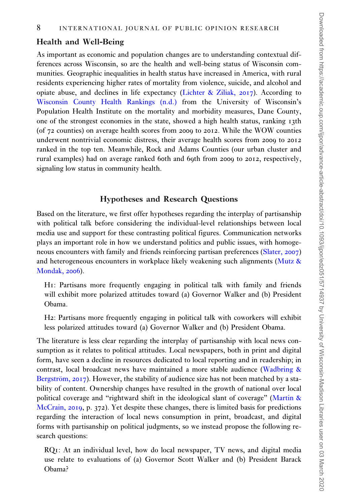## Health and Well-Being

As important as economic and population changes are to understanding contextual differences across Wisconsin, so are the health and well-being status of Wisconsin communities. Geographic inequalities in health status have increased in America, with rural residents experiencing higher rates of mortality from violence, suicide, and alcohol and opiate abuse, and declines in life expectancy ([Lichter](#page-17-0) [& Ziliak,](#page-17-0) 2017). According to [Wisconsin County Health Rankings \(n.d.\)](#page-18-0) from the University of Wisconsin's Population Health Institute on the mortality and morbidity measures, Dane County, one of the strongest economies in the state, showed a high health status, ranking 13th (of 72 counties) on average health scores from 2009 to 2012. While the WOW counties underwent nontrivial economic distress, their average health scores from 2009 to 2012 ranked in the top ten. Meanwhile, Rock and Adams Counties (our urban cluster and rural examples) had on average ranked 60th and 69th from 2009 to 2012, respectively, signaling low status in community health.

## Hypotheses and Research Questions

Based on the literature, we first offer hypotheses regarding the interplay of partisanship with political talk before considering the individual-level relationships between local media use and support for these contrasting political figures. Communication networks plays an important role in how we understand politics and public issues, with homogeneous encounters with family and friends reinforcing partisan preferences [\(Slater,](#page-17-0) 2007) and heterogeneous encounters in workplace likely weakening such alignments [\(Mutz](#page-17-0) & [Mondak,](#page-17-0) 2006).

H1: Partisans more frequently engaging in political talk with family and friends will exhibit more polarized attitudes toward (a) Governor Walker and (b) President Obama.

H2: Partisans more frequently engaging in political talk with coworkers will exhibit less polarized attitudes toward (a) Governor Walker and (b) President Obama.

The literature is less clear regarding the interplay of partisanship with local news consumption as it relates to political attitudes. Local newspapers, both in print and digital form, have seen a decline in resources dedicated to local reporting and in readership; in contrast, local broadcast news have maintained a more stable audience [\(Wadbring](#page-18-0) & Bergström,  $2017$ ). However, the stability of audience size has not been matched by a stability of content. Ownership changes have resulted in the growth of national over local political coverage and "rightward shift in the ideological slant of coverage" ([Martin](#page-17-0) & [McCrain,](#page-17-0) 2019, p. 372). Yet despite these changes, there is limited basis for predictions regarding the interaction of local news consumption in print, broadcast, and digital forms with partisanship on political judgments, so we instead propose the following research questions:

RQ1: At an individual level, how do local newspaper, TV news, and digital media use relate to evaluations of (a) Governor Scott Walker and (b) President Barack Obama?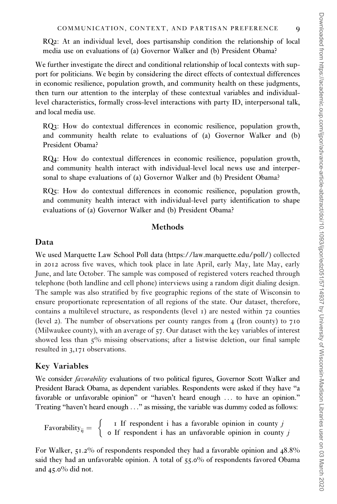RQ2: At an individual level, does partisanship condition the relationship of local media use on evaluations of (a) Governor Walker and (b) President Obama?

We further investigate the direct and conditional relationship of local contexts with support for politicians. We begin by considering the direct effects of contextual differences in economic resilience, population growth, and community health on these judgments, then turn our attention to the interplay of these contextual variables and individuallevel characteristics, formally cross-level interactions with party ID, interpersonal talk, and local media use.

RQ3: How do contextual differences in economic resilience, population growth, and community health relate to evaluations of (a) Governor Walker and (b) President Obama?

RQ4: How do contextual differences in economic resilience, population growth, and community health interact with individual-level local news use and interpersonal to shape evaluations of (a) Governor Walker and (b) President Obama?

RQ5: How do contextual differences in economic resilience, population growth, and community health interact with individual-level party identification to shape evaluations of (a) Governor Walker and (b) President Obama?

#### **Methods**

#### Data

We used Marquette Law School Poll data [\(https://law.marquette.edu/poll/](https://law.marquette.edu/poll/)) collected in 2012 across five waves, which took place in late April, early May, late May, early June, and late October. The sample was composed of registered voters reached through telephone (both landline and cell phone) interviews using a random digit dialing design. The sample was also stratified by five geographic regions of the state of Wisconsin to ensure proportionate representation of all regions of the state. Our dataset, therefore, contains a multilevel structure, as respondents (level  $\iota$ ) are nested within  $\tau$ 2 counties (level 2). The number of observations per county ranges from  $\frac{4}{100}$  (Iron county) to 710 (Milwaukee county), with an average of 57. Our dataset with the key variables of interest showed less than 5% missing observations; after a listwise deletion, our final sample resulted in 3,171 observations.

#### Key Variables

We consider *favorability* evaluations of two political figures, Governor Scott Walker and President Barack Obama, as dependent variables. Respondents were asked if they have "a favorable or unfavorable opinion" or "haven't heard enough ... to have an opinion." Treating "haven't heard enough ..." as missing, the variable was dummy coded as follows:

Favorability<sub>ij</sub> = 
$$
\begin{cases} \n\text{I If responder i has a favorable opinion in county } j \\
\text{o If responder i has an unfavorable opinion in county } j\n\end{cases}
$$

For Walker, 51.2% of respondents responded they had a favorable opinion and 48.8% said they had an unfavorable opinion. A total of 55.0% of respondents favored Obama and 45.0% did not.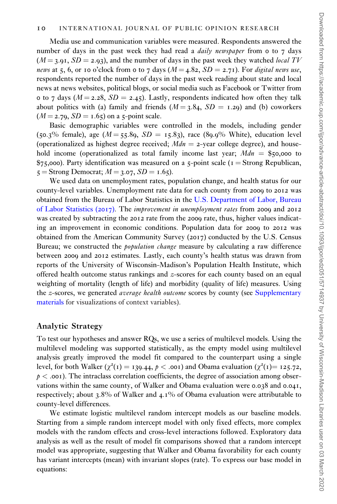Media use and communication variables were measured. Respondents answered the number of days in the past week they had read a  $daily$  newspaper from 0 to 7 days  $(M = 3.91, SD = 2.93)$ , and the number of days in the past week they watched *local TV* news at 5, 6, or 10 o'clock from 0 to 7 days  $(M = 4.82, SD = 2.71)$ . For digital news use, respondents reported the number of days in the past week reading about state and local news at news websites, political blogs, or social media such as Facebook or Twitter from 0 to 7 days ( $M = 2.28$ ,  $SD = 2.45$ ). Lastly, respondents indicated how often they talk about politics with (a) family and friends  $(M = 3.84, SD = 1.29)$  and (b) coworkers  $(M = 2.79, SD = 1.65)$  on a 5-point scale.

Basic demographic variables were controlled in the models, including gender (50.3% female), age ( $M = 55.89$ ,  $SD = 15.83$ ), race (89.9% White), education level (operationalized as highest degree received;  $Mdn = 2$ -year college degree), and household income (operationalized as total family income last year;  $Mdn =$  \$50,000 to  $$75,000$ . Party identification was measured on a 5-point scale ( $I =$ Strong Republican,  $5 =$ Strong Democrat;  $M = 3.07$ ,  $SD = 1.65$ ).

We used data on unemployment rates, population change, and health status for our county-level variables. Unemployment rate data for each county from 2009 to 2012 was obtained from the Bureau of Labor Statistics in the [U.S. Department of Labor, Bureau](#page-18-0) [of Labor Statistics \(](#page-18-0)2017). The improvement in unemployment rates from 2009 and 2012 was created by subtracting the 2012 rate from the 2009 rate, thus, higher values indicating an improvement in economic conditions. Population data for 2009 to 2012 was obtained from the American Community Survey (2017) conducted by the U.S. Census Bureau; we constructed the population change measure by calculating a raw difference between 2009 and 2012 estimates. Lastly, each county's health status was drawn from reports of the University of Wisconsin-Madison's Population Health Institute, which offered health outcome status rankings and z-scores for each county based on an equal weighting of mortality (length of life) and morbidity (quality of life) measures. Using the *z*-scores, we generated *average health outcome* scores by county (see [Supplementary](https://academic.oup.com/ijpor/article-lookup/doi/10.1093/ijpor/edz051#supplementary-data) [materials](https://academic.oup.com/ijpor/article-lookup/doi/10.1093/ijpor/edz051#supplementary-data) for visualizations of context variables).

#### Analytic Strategy

To test our hypotheses and answer RQs, we use a series of multilevel models. Using the multilevel modeling was supported statistically, as the empty model using multilevel analysis greatly improved the model fit compared to the counterpart using a single level, for both Walker ( $\chi^2(1) = 139.44$ ,  $p < .001$ ) and Obama evaluation ( $\chi^2(1) = 125.72$ ,  $p <$  .001). The intraclass correlation coefficients, the degree of association among observations within the same county, of Walker and Obama evaluation were 0.038 and 0.041, respectively; about 3.8% of Walker and 4.1% of Obama evaluation were attributable to county-level differences.

We estimate logistic multilevel random intercept models as our baseline models. Starting from a simple random intercept model with only fixed effects, more complex models with the random effects and cross-level interactions followed. Exploratory data analysis as well as the result of model fit comparisons showed that a random intercept model was appropriate, suggesting that Walker and Obama favorability for each county has variant intercepts (mean) with invariant slopes (rate). To express our base model in equations: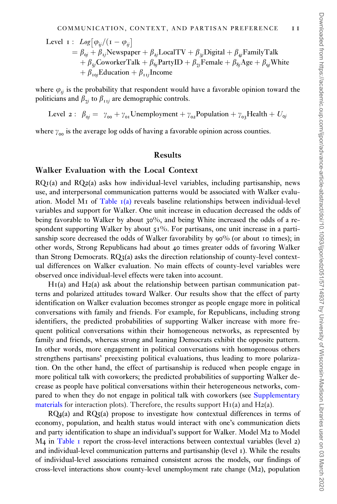Level I : 
$$
Log[\varphi_{ij}/(1 - \varphi_{ij})
$$
  
\n
$$
= \beta_{oj} + \beta_{ij}Newspaper + \beta_{2j}LocalTV + \beta_{3j}Digital + \beta_{4j} FamilyTalk
$$
\n
$$
+ \beta_{5j} CoworkerTalk + \beta_{6j} PartyID + \beta_{7j} Female + \beta_{8j} Age + \beta_{9j} White
$$
\n
$$
+ \beta_{10j} Education + \beta_{11j} Income
$$

where  $\varphi_{ii}$  is the probability that respondent would have a favorable opinion toward the politicians and  $\beta_{7i}$  to  $\beta_{11i}$  are demographic controls.

Level 2 :  $\beta_{0i} = \gamma_{00} + \gamma_{01}$ Unemployment  $+\gamma_{02}$ Population  $+\gamma_{03}$ Health  $+\ U_{0i}$ 

where  $\gamma_{oo}$  is the average log odds of having a favorable opinion across counties.

## Results

#### Walker Evaluation with the Local Context

 $RQI(a)$  and  $RQ2(a)$  asks how individual-level variables, including partisanship, news use, and interpersonal communication patterns would be associated with Walker evalu-ation. Model M<sub>I</sub> of [Table](#page-11-0)  $I(a)$  reveals baseline relationships between individual-level variables and support for Walker. One unit increase in education decreased the odds of being favorable to Walker by about 30%, and being White increased the odds of a respondent supporting Walker by about  $51\%$ . For partisans, one unit increase in a partisanship score decreased the odds of Walker favorability by 90% (or about 10 times); in other words, Strong Republicans had about 40 times greater odds of favoring Walker than Strong Democrats.  $RQ_3(a)$  asks the direction relationship of county-level contextual differences on Walker evaluation. No main effects of county-level variables were observed once individual-level effects were taken into account.

 $H_1(a)$  and  $H_2(a)$  ask about the relationship between partisan communication patterns and polarized attitudes toward Walker. Our results show that the effect of party identification on Walker evaluation becomes stronger as people engage more in political conversations with family and friends. For example, for Republicans, including strong identifiers, the predicted probabilities of supporting Walker increase with more frequent political conversations within their homogeneous networks, as represented by family and friends, whereas strong and leaning Democrats exhibit the opposite pattern. In other words, more engagement in political conversations with homogeneous others strengthens partisans' preexisting political evaluations, thus leading to more polarization. On the other hand, the effect of partisanship is reduced when people engage in more political talk with coworkers; the predicted probabilities of supporting Walker decrease as people have political conversations within their heterogeneous networks, compared to when they do not engage in political talk with coworkers (see [Supplementary](https://academic.oup.com/ijpor/article-lookup/doi/10.1093/ijpor/edz051#supplementary-data) [materials](https://academic.oup.com/ijpor/article-lookup/doi/10.1093/ijpor/edz051#supplementary-data) for interaction plots). Therefore, the results support  $H_1(a)$  and  $H_2(a)$ .

 $RQ_4(a)$  and  $RQ_5(a)$  propose to investigate how contextual differences in terms of economy, population, and health status would interact with one's communication diets and party identification to shape an individual's support for Walker. Model M2 to Model  $M<sub>4</sub>$  in [Table](#page-11-0) 1 report the cross-level interactions between contextual variables (level 2) and individual-level communication patterns and partisanship (level 1). While the results of individual-level associations remained consistent across the models, our findings of cross-level interactions show county-level unemployment rate change (M2), population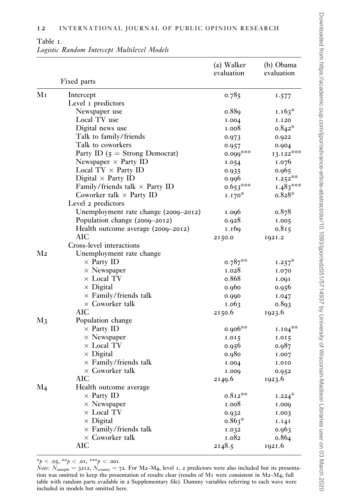## <span id="page-11-0"></span>Table 1.

|  |  |  | Logistic Random Intercept Multilevel Models |  |
|--|--|--|---------------------------------------------|--|
|--|--|--|---------------------------------------------|--|

|                            |                                       | (a) Walker<br>evaluation | (b) Obama<br>evaluation |
|----------------------------|---------------------------------------|--------------------------|-------------------------|
|                            | Fixed parts                           |                          |                         |
| $\rm{M\,{\scriptstyle I}}$ | Intercept                             | 0.785                    | 1.577                   |
|                            | Level I predictors                    |                          |                         |
|                            | Newspaper use                         | o.889                    | $1.163*$                |
|                            | Local TV use                          | I.004                    | I.120                   |
|                            | Digital news use                      | 1.008                    | $0.842*$                |
|                            | Talk to family/friends                | 0.973                    | 0.922                   |
|                            | Talk to coworkers                     | 0.957                    | 0.004                   |
|                            | Party ID $(5 =$ Strong Democrat)      | $0.099***$               | $13.122***$             |
|                            | Newspaper $\times$ Party ID           | 1.054                    | 1.076                   |
|                            | Local $TV \times$ Party ID            | 0.935                    | 0.965                   |
|                            | Digital $\times$ Party ID             | 0.996                    | $1.252***$              |
|                            | Family/friends talk $\times$ Party ID | $0.653***$               | $1.483***$              |
|                            | Coworker talk $\times$ Party ID       | $1.170*$                 | $0.828*$                |
|                            | Level 2 predictors                    |                          |                         |
|                            | Unemployment rate change (2009-2012)  | 1.006                    | o.878                   |
|                            | Population change (2009-2012)         | 0.928                    | 1.005                   |
|                            | Health outcome average (2000–2012)    | 1.169                    | 0.815                   |
|                            | AIC                                   | 2150.0                   | 1921.2                  |
|                            | Cross-level interactions              |                          |                         |
| M <sub>2</sub>             | Unemployment rate change              |                          |                         |
|                            | $\times$ Party ID                     | $0.787**$                | $1.257^*$               |
|                            | $\times$ Newspaper                    | 1.028                    | 1.070                   |
|                            | $\times$ Local TV                     | o.868                    | 1.001                   |
|                            | $\times$ Digital                      | 0.960                    | 0.956                   |
|                            | $\times$ Family/friends talk          | 0.990                    | I.047                   |
|                            | $\times$ Coworker talk                | 1.063                    | 0.893                   |
|                            | AIC                                   | 2150.6                   | 1923.6                  |
| $M_3$                      | Population change                     |                          |                         |
|                            | $\times$ Party ID                     | $0.906**$                | $1.104***$              |
|                            | $\times$ Newspaper                    | 1.015                    | 1.015                   |
|                            | $\times$ Local TV                     | 0.956                    | 0.987                   |
|                            | $\times$ Digital                      | 0.980                    | I.007                   |
|                            | $\times$ Family/friends talk          | I.004                    | 1.010                   |
|                            | $\times$ Coworker talk                | 1.000                    | 0.952                   |
|                            | AIC                                   | 2149.6                   | 1923.6                  |
| M4                         | Health outcome average                |                          |                         |
|                            | $\times$ Party ID                     | $0.812**$                | $1.224*$                |
|                            | $\times$ Newspaper                    | 1.008                    | 1.000                   |
|                            | $\times$ Local TV                     | 0.932                    | 1.003                   |
|                            | $\times$ Digital                      | $0.863*$                 | 1.141                   |
|                            | $\times$ Family/friends talk          | 1.032                    | 0.963                   |
|                            | $\times$ Coworker talk                | 1.082                    | 0.864                   |
|                            | AIC                                   | 2148.5                   | 1921.6                  |

\*p < .05, \*\*p < .01, \*\*\*p < .001.

 $\hat{N}_{\text{other}}$ :  $\hat{N}_{\text{sample}} = 3212$ ,  $\hat{N}_{\text{county}} = 72$ . For M2–M4, level 1, 2 predictors were also included but its presentation was omitted to keep the presentation of results clear (results of M1 were consistent in M2–M4; full table with random parts available in a Supplementary file). Dummy variables referring to each wave were included in models but omitted here.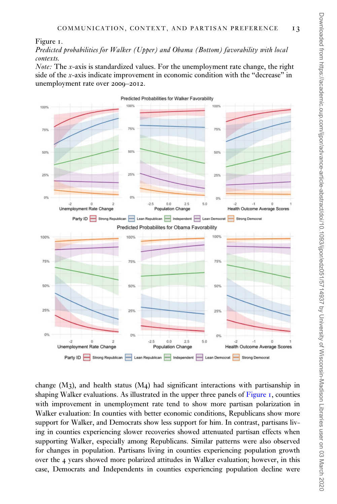<span id="page-12-0"></span>Figure 1.

Predicted probabilities for Walker (Upper) and Obama (Bottom) favorability with local contexts.

*Note:* The *x*-axis is standardized values. For the unemployment rate change, the right side of the x-axis indicate improvement in economic condition with the "decrease" in unemployment rate over 2009–2012.



change  $(M_3)$ , and health status  $(M_4)$  had significant interactions with partisanship in shaping Walker evaluations. As illustrated in the upper three panels of Figure 1, counties with improvement in unemployment rate tend to show more partisan polarization in Walker evaluation: In counties with better economic conditions, Republicans show more support for Walker, and Democrats show less support for him. In contrast, partisans living in counties experiencing slower recoveries showed attenuated partisan effects when supporting Walker, especially among Republicans. Similar patterns were also observed for changes in population. Partisans living in counties experiencing population growth over the 4 years showed more polarized attitudes in Walker evaluation; however, in this case, Democrats and Independents in counties experiencing population decline were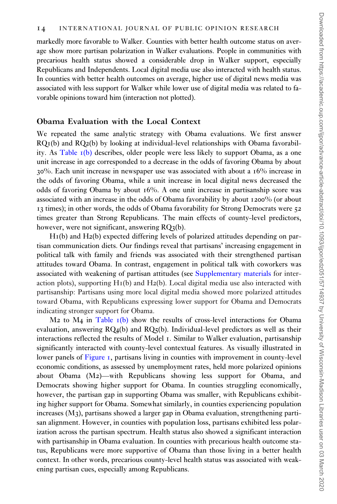markedly more favorable to Walker. Counties with better health outcome status on average show more partisan polarization in Walker evaluations. People in communities with precarious health status showed a considerable drop in Walker support, especially Republicans and Independents. Local digital media use also interacted with health status. In counties with better health outcomes on average, higher use of digital news media was associated with less support for Walker while lower use of digital media was related to favorable opinions toward him (interaction not plotted).

#### Obama Evaluation with the Local Context

We repeated the same analytic strategy with Obama evaluations. We first answer RQ1(b) and RQ2(b) by looking at individual-level relationships with Obama favorability. As [Table](#page-11-0) 1(b) describes, older people were less likely to support Obama, as a one unit increase in age corresponded to a decrease in the odds of favoring Obama by about 30%. Each unit increase in newspaper use was associated with about a 16% increase in the odds of favoring Obama, while a unit increase in local digital news decreased the odds of favoring Obama by about 16%. A one unit increase in partisanship score was associated with an increase in the odds of Obama favorability by about 1200% (or about 13 times); in other words, the odds of Obama favorability for Strong Democrats were 52 times greater than Strong Republicans. The main effects of county-level predictors, however, were not significant, answering RQ3(b).

H1(b) and H2(b) expected differing levels of polarized attitudes depending on partisan communication diets. Our findings reveal that partisans' increasing engagement in political talk with family and friends was associated with their strengthened partisan attitudes toward Obama. In contrast, engagement in political talk with coworkers was associated with weakening of partisan attitudes (see [Supplementary materials](https://academic.oup.com/ijpor/article-lookup/doi/10.1093/ijpor/edz051#supplementary-data) for interaction plots), supporting  $H_1(b)$  and  $H_2(b)$ . Local digital media use also interacted with partisanship: Partisans using more local digital media showed more polarized attitudes toward Obama, with Republicans expressing lower support for Obama and Democrats indicating stronger support for Obama.

 $M<sub>2</sub>$  to  $M<sub>4</sub>$  in [Table](#page-11-0)  $I(b)$  show the results of cross-level interactions for Obama evaluation, answering  $RQ_4(b)$  and  $RQ_5(b)$ . Individual-level predictors as well as their interactions reflected the results of Model 1. Similar to Walker evaluation, partisanship significantly interacted with county-level contextual features. As visually illustrated in lower panels of [Figure](#page-12-0) 1, partisans living in counties with improvement in county-level economic conditions, as assessed by unemployment rates, held more polarized opinions about Obama (M2)—with Republicans showing less support for Obama, and Democrats showing higher support for Obama. In counties struggling economically, however, the partisan gap in supporting Obama was smaller, with Republicans exhibiting higher support for Obama. Somewhat similarly, in counties experiencing population increases  $(M<sub>3</sub>)$ , partisans showed a larger gap in Obama evaluation, strengthening partisan alignment. However, in counties with population loss, partisans exhibited less polarization across the partisan spectrum. Health status also showed a significant interaction with partisanship in Obama evaluation. In counties with precarious health outcome status, Republicans were more supportive of Obama than those living in a better health context. In other words, precarious county-level health status was associated with weakening partisan cues, especially among Republicans.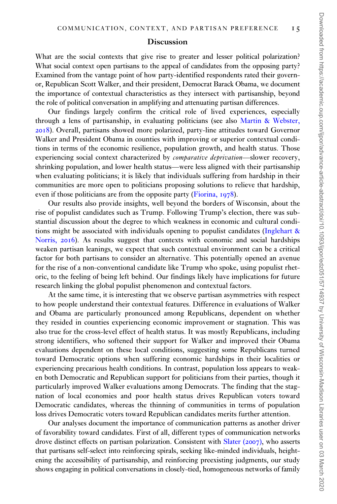#### **Discussion**

What are the social contexts that give rise to greater and lesser political polarization? What social context open partisans to the appeal of candidates from the opposing party? Examined from the vantage point of how party-identified respondents rated their governor, Republican Scott Walker, and their president, Democrat Barack Obama, we document the importance of contextual characteristics as they intersect with partisanship, beyond the role of political conversation in amplifying and attenuating partisan differences.

Our findings largely confirm the critical role of lived experiences, especially through a lens of partisanship, in evaluating politicians (see also [Martin & Webster,](#page-17-0) [2018](#page-17-0)). Overall, partisans showed more polarized, party-line attitudes toward Governor Walker and President Obama in counties with improving or superior contextual conditions in terms of the economic resilience, population growth, and health status. Those experiencing social context characterized by comparative deprivation—slower recovery, shrinking population, and lower health status—were less aligned with their partisanship when evaluating politicians; it is likely that individuals suffering from hardship in their communities are more open to politicians proposing solutions to relieve that hardship, even if those politicians are from the opposite party [\(Fiorina,](#page-16-0) 1978).

Our results also provide insights, well beyond the borders of Wisconsin, about the rise of populist candidates such as Trump. Following Trump's election, there was substantial discussion about the degree to which weakness in economic and cultural conditions might be associated with individuals opening to populist candidates ([Inglehart](#page-16-0) & [Norris,](#page-16-0) 2016). As results suggest that contexts with economic and social hardships weaken partisan leanings, we expect that such contextual environment can be a critical factor for both partisans to consider an alternative. This potentially opened an avenue for the rise of a non-conventional candidate like Trump who spoke, using populist rhetoric, to the feeling of being left behind. Our findings likely have implications for future research linking the global populist phenomenon and contextual factors.

At the same time, it is interesting that we observe partisan asymmetries with respect to how people understand their contextual features. Difference in evaluations of Walker and Obama are particularly pronounced among Republicans, dependent on whether they resided in counties experiencing economic improvement or stagnation. This was also true for the cross-level effect of health status. It was mostly Republicans, including strong identifiers, who softened their support for Walker and improved their Obama evaluations dependent on these local conditions, suggesting some Republicans turned toward Democratic options when suffering economic hardships in their localities or experiencing precarious health conditions. In contrast, population loss appears to weaken both Democratic and Republican support for politicians from their parties, though it particularly improved Walker evaluations among Democrats. The finding that the stagnation of local economies and poor health status drives Republican voters toward Democratic candidates, whereas the thinning of communities in terms of population loss drives Democratic voters toward Republican candidates merits further attention.

Our analyses document the importance of communication patterns as another driver of favorability toward candidates. First of all, different types of communication networks drove distinct effects on partisan polarization. Consistent with [Slater \(](#page-17-0)2007), who asserts that partisans self-select into reinforcing spirals, seeking like-minded individuals, heightening the accessibility of partisanship, and reinforcing preexisting judgments, our study shows engaging in political conversations in closely-tied, homogeneous networks of family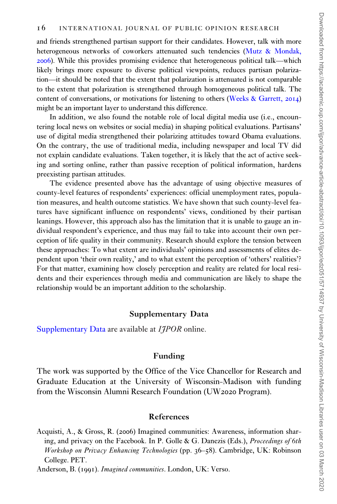<span id="page-15-0"></span>and friends strengthened partisan support for their candidates. However, talk with more heterogeneous networks of coworkers attenuated such tendencies [\(Mutz & Mondak,](#page-17-0) [2006](#page-17-0)). While this provides promising evidence that heterogeneous political talk—which likely brings more exposure to diverse political viewpoints, reduces partisan polarization—it should be noted that the extent that polarization is attenuated is not comparable to the extent that polarization is strengthened through homogeneous political talk. The content of conversations, or motivations for listening to others [\(Weeks & Garrett,](#page-18-0) 2014) might be an important layer to understand this difference.

In addition, we also found the notable role of local digital media use (i.e., encountering local news on websites or social media) in shaping political evaluations. Partisans' use of digital media strengthened their polarizing attitudes toward Obama evaluations. On the contrary, the use of traditional media, including newspaper and local TV did not explain candidate evaluations. Taken together, it is likely that the act of active seeking and sorting online, rather than passive reception of political information, hardens preexisting partisan attitudes.

The evidence presented above has the advantage of using objective measures of county-level features of respondents' experiences: official unemployment rates, population measures, and health outcome statistics. We have shown that such county-level features have significant influence on respondents' views, conditioned by their partisan leanings. However, this approach also has the limitation that it is unable to gauge an individual respondent's experience, and thus may fail to take into account their own perception of life quality in their community. Research should explore the tension between these approaches: To what extent are individuals' opinions and assessments of elites dependent upon 'their own reality,' and to what extent the perception of 'others' realities'? For that matter, examining how closely perception and reality are related for local residents and their experiences through media and communication are likely to shape the relationship would be an important addition to the scholarship.

#### Supplementary Data

[Supplementary Data](https://academic.oup.com/ijpor/article-lookup/doi/10.1093/ijpor/edz051#supplementary-data) are available at *IIPOR* online.

#### Funding

The work was supported by the Office of the Vice Chancellor for Research and Graduate Education at the University of Wisconsin-Madison with funding from the Wisconsin Alumni Research Foundation (UW2020 Program).

#### References

Acquisti, A., & Gross, R. (2006) Imagined communities: Awareness, information sharing, and privacy on the Facebook. In P. Golle & G. Danezis (Eds.), Proceedings of 6th Workshop on Privacy Enhancing Technologies (pp. 36–58). Cambridge, UK: Robinson College. PET.

Anderson, B. (1991). Imagined communities. London, UK: Verso.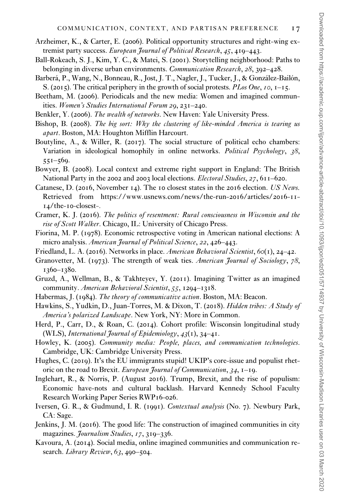- <span id="page-16-0"></span>Arzheimer, K., & Carter, E. (2006). Political opportunity structures and right-wing extremist party success. European Journal of Political Research, 45, 419–443.
- Ball-Rokeach, S. J., Kim, Y. C., & Matei, S. (2001). Storytelling neighborhood: Paths to belonging in diverse urban environments. Communication Research, 28, 392-428.
- Barberá, P., Wang, N., Bonneau, R., Jost, J. T., Nagler, J., Tucker, J., & González-Bailón, S. (2015). The critical periphery in the growth of social protests. PLos One, 10, 1–15.
- Beetham, M. (2006). Periodicals and the new media: Women and imagined communities. Women's Studies International Forum 29, 231–240.
- Benkler, Y. (2006). The wealth of networks. New Haven: Yale University Press.
- Bishop, B. (2008). The big sort: Why the clustering of like-minded America is tearing us apart. Boston, MA: Houghton Mifflin Harcourt.
- Boutyline, A., & Willer, R. (2017). The social structure of political echo chambers: Variation in ideological homophily in online networks. *Political Psychology*, 38,  $551 - 569$ .
- Bowyer, B. (2008). Local context and extreme right support in England: The British National Party in the 2002 and 2003 local elections. Electoral Studies, 27, 611–620.
- Catanese, D. (2016, November 14). The 10 closest states in the 2016 election. US News. Retrieved from [https://www.usnews.com/news/the-run-](https://www.usnews.com/news/the-run-2016/articles/2016-11-14/the-10-closest)2016/articles/2016-11-14/the-10[-closest](https://www.usnews.com/news/the-run-2016/articles/2016-11-14/the-10-closest)-.
- Cramer, K. J. (2016). The politics of resentment: Rural consciousness in Wisconsin and the rise of Scott Walker. Chicago, IL: University of Chicago Press.
- Fiorina, M. P. (1978). Economic retrospective voting in American national elections: A micro analysis. American Journal of Political Science, 22, 426–443.
- Friedland, L. A. (2016). Networks in place. American Behavioral Scientist, 60(1), 24–42.
- Granovetter, M. (1973). The strength of weak ties. American Journal of Sociology, 78, 1360–1380.
- Gruzd, A., Wellman, B., & Takhteyev, Y. (2011). Imagining Twitter as an imagined community. American Behavioral Scientist, 55, 1294–1318.
- Habermas, J. (1984). The theory of communicative action. Boston, MA: Beacon.
- Hawkins, S., Yudkin, D., Juan-Torres, M. & Dixon, T. (2018). Hidden tribes: A Study of America's polarized Landscape. New York, NY: More in Common.
- Herd, P., Carr, D., & Roan, C. (2014). Cohort profile: Wisconsin longitudinal study (WLS), International Journal of Epidemiology,  $43(1)$ ,  $34-41$ .
- Howley, K. (2005). Community media: People, places, and communication technologies. Cambridge, UK: Cambridge University Press.
- Hughes, C. (2019). It's the EU immigrants stupid! UKIP's core-issue and populist rhetoric on the road to Brexit. European Journal of Communication, 34, 1–19.
- Inglehart, R., & Norris, P. (August 2016). Trump, Brexit, and the rise of populism: Economic have-nots and cultural backlash. Harvard Kennedy School Faculty Research Working Paper Series RWP16-026.
- Iversen, G. R., & Gudmund, I. R. (1991). Contextual analysis (No. 7). Newbury Park, CA: Sage.
- Jenkins, J. M. (2016). The good life: The construction of imagined communities in city magazines. *Journalism Studies*, 17, 319–336.
- Kavoura, A. (2014). Social media, online imagined communities and communication research. *Library Review*,  $63,490-504$ .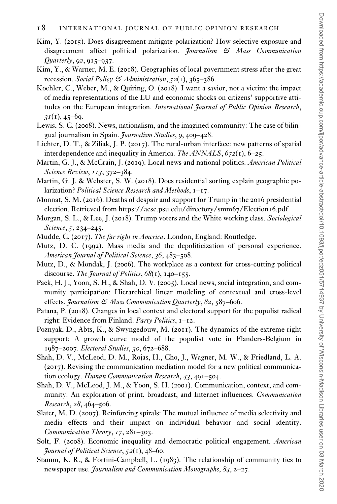- <span id="page-17-0"></span>Kim, Y. (2015). Does disagreement mitigate polarization? How selective exposure and disagreement affect political polarization. Journalism & Mass Communication  $Quarterly, 92, 915-937.$
- Kim, Y., & Warner, M. E. (2018). Geographies of local government stress after the great recession. Social Policy & Administration,  $52(1)$ ,  $365-386$ .
- Koehler, C., Weber, M., & Quiring, O. (2018). I want a savior, not a victim: the impact of media representations of the EU and economic shocks on citizens' supportive attitudes on the European integration. International Journal of Public Opinion Research,  $31(1), 45-69.$
- Lewis, S. C. (2008). News, nationalism, and the imagined community: The case of bilingual journalism in Spain. Journalism Studies, 9, 409–428.
- Lichter, D. T., & Ziliak, J. P. (2017). The rural-urban interface: new patterns of spatial interdependence and inequality in America. The ANNALS,  $672(1)$ ,  $6-25$ .
- Martin, G. J., & McCrain, J. (2019). Local news and national politics. American Political Science Review, 113, 372–384.
- Martin, G. J. & Webster, S. W. (2018). Does residential sorting explain geographic polarization? Political Science Research and Methods, 1–17.
- Monnat, S. M. (2016). Deaths of despair and support for Trump in the 2016 presidential election. Retrieved from [https://aese.psu.edu/directory/smm](https://aese.psu.edu/directory/smm67/Election16.pdf)67/Election16.pdf.
- Morgan, S. L., & Lee, J. (2018). Trump voters and the White working class. Sociological Science, 5, 234–245.
- Mudde, C. (2017). The far right in America. London, England: Routledge.
- Mutz, D. C. (1992). Mass media and the depoliticization of personal experience. American Journal of Political Science, 36, 483-508.
- Mutz, D., & Mondak, J. (2006). The workplace as a context for cross-cutting political discourse. The Journal of Politics,  $68(1)$ ,  $140-155$ .
- Paek, H. J., Yoon, S. H., & Shah, D. V. (2005). Local news, social integration, and community participation: Hierarchical linear modeling of contextual and cross-level effects. Journalism & Mass Communication Quarterly, 82, 587-606.
- Patana, P. (2018). Changes in local context and electoral support for the populist radical right: Evidence from Finland. Party Politics, 1–12.
- Poznyak, D., Abts, K., & Swyngedouw, M. (2011). The dynamics of the extreme right support: A growth curve model of the populist vote in Flanders-Belgium in 1987–2007. Electoral Studies, 30, 672–688.
- Shah, D. V., McLeod, D. M., Rojas, H., Cho, J., Wagner, M. W., & Friedland, L. A. (2017). Revising the communication mediation model for a new political communication ecology. Human Communication Research, 43, 491-504.
- Shah, D. V., McLeod, J. M., & Yoon, S. H. (2001). Communication, context, and community: An exploration of print, broadcast, and Internet influences. Communication Research, 28, 464–506.
- Slater, M. D. (2007). Reinforcing spirals: The mutual influence of media selectivity and media effects and their impact on individual behavior and social identity. Communication Theory, 17, 281–303.
- Solt, F. (2008). Economic inequality and democratic political engagement. American Journal of Political Science,  $52(1)$ ,  $48-60$ .
- Stamm, K. R., & Fortini-Campbell, L. (1983). The relationship of community ties to newspaper use. Journalism and Communication Monographs, 84, 2–27.